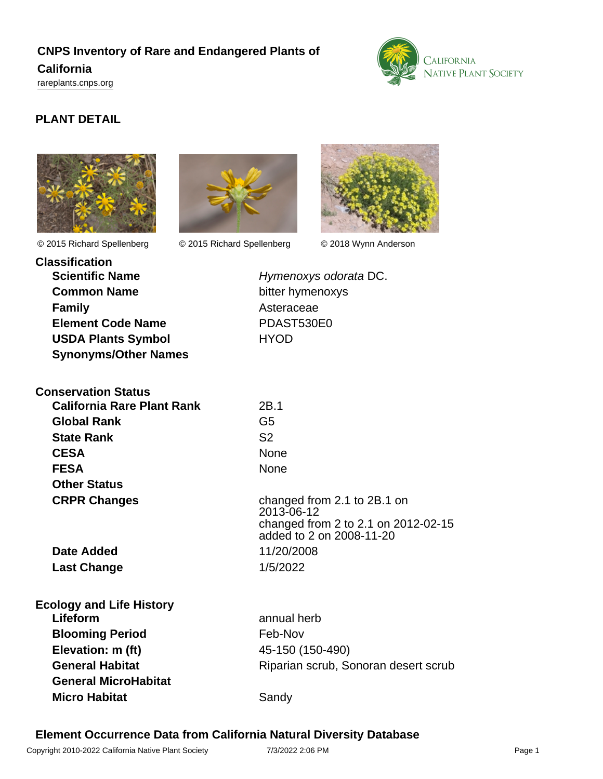# **CNPS Inventory of Rare and Endangered Plants of California**

<rareplants.cnps.org>



# **PLANT DETAIL**



© 2015 Richard Spellenberg © 2015 Richard Spellenberg © 2018 Wynn Anderson





| <b>Classification</b> |                             |
|-----------------------|-----------------------------|
|                       | <b>Scientific Name</b>      |
|                       | <b>Common Name</b>          |
| <b>Family</b>         |                             |
|                       | <b>Element Code Name</b>    |
|                       | <b>USDA Plants Symbol</b>   |
|                       | <b>Synonyms/Other Names</b> |

**Hymenoxys odorata DC. bitter hymenoxys** Asteraceae **Element Code Name** PDAST530E0 **USDA Plants Symbol** HYOD

| <b>Conservation Status</b>        |                                                                 |
|-----------------------------------|-----------------------------------------------------------------|
| <b>California Rare Plant Rank</b> | 2B.1                                                            |
| <b>Global Rank</b>                | G5                                                              |
| <b>State Rank</b>                 | S <sub>2</sub>                                                  |
| <b>CESA</b>                       | None                                                            |
| <b>FESA</b>                       | None                                                            |
| <b>Other Status</b>               |                                                                 |
| <b>CRPR Changes</b>               | changed from 2.1 to 2B.1 on<br>2013-06-12                       |
|                                   | changed from 2 to 2.1 on 2012-02-15<br>added to 2 on 2008-11-20 |
| Date Added                        | 11/20/2008                                                      |
| <b>Last Change</b>                | 1/5/2022                                                        |
| <b>Ecology and Life History</b>   |                                                                 |
| Lifeform                          | annual herb                                                     |
| <b>Blooming Period</b>            | Feb-Nov                                                         |
| Elevation: m (ft)                 | 45-150 (150-490)                                                |
| <b>General Habitat</b>            | Riparian scrub, Sonoran desert scrub                            |
| <b>General MicroHabitat</b>       |                                                                 |

# **Element Occurrence Data from California Natural Diversity Database**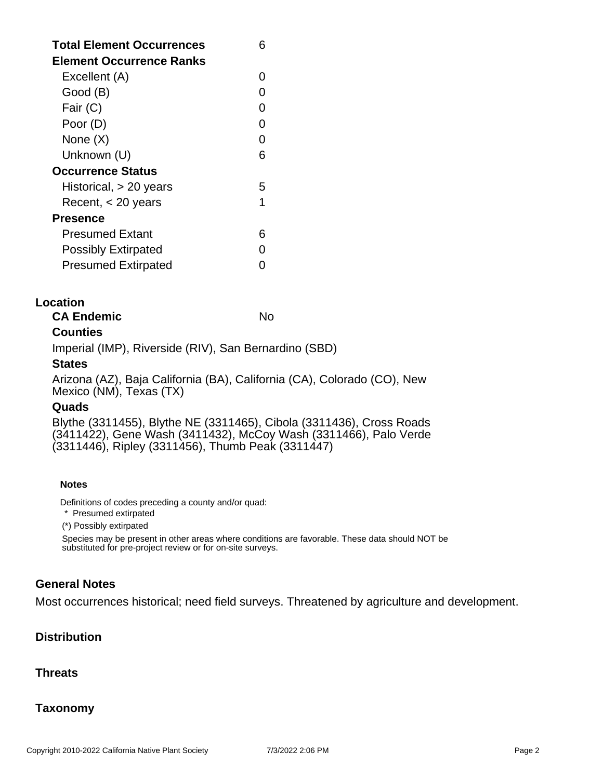| <b>Total Element Occurrences</b><br>Element Occurrence Ranks |   |
|--------------------------------------------------------------|---|
| Excellent (A)                                                | 0 |
| Good (B)                                                     |   |
| Fair (C)                                                     |   |
| Poor (D)                                                     | O |
| None (X)                                                     | O |
| Unknown (U)                                                  | 6 |
| <b>Occurrence Status</b>                                     |   |
| Historical, $> 20$ years                                     | 5 |
| Recent, $<$ 20 years                                         | 1 |
| Presence                                                     |   |
| Presumed Extant                                              | ห |
| <b>Possibly Extirpated</b>                                   |   |
| <b>Presumed Extirpated</b>                                   |   |

#### **Location**

**CA Endemic** No. No.

# **Counties**

Imperial (IMP), Riverside (RIV), San Bernardino (SBD)

#### **States**

Arizona (AZ), Baja California (BA), California (CA), Colorado (CO), New Mexico (NM), Texas (TX)

#### **Quads**

Blythe (3311455), Blythe NE (3311465), Cibola (3311436), Cross Roads (3411422), Gene Wash (3411432), McCoy Wash (3311466), Palo Verde (3311446), Ripley (3311456), Thumb Peak (3311447)

#### **Notes**

Definitions of codes preceding a county and/or quad:

\* Presumed extirpated

(\*) Possibly extirpated

Species may be present in other areas where conditions are favorable. These data should NOT be substituted for pre-project review or for on-site surveys.

# **General Notes**

Most occurrences historical; need field surveys. Threatened by agriculture and development.

# **Distribution**

#### **Threats**

# **Taxonomy**